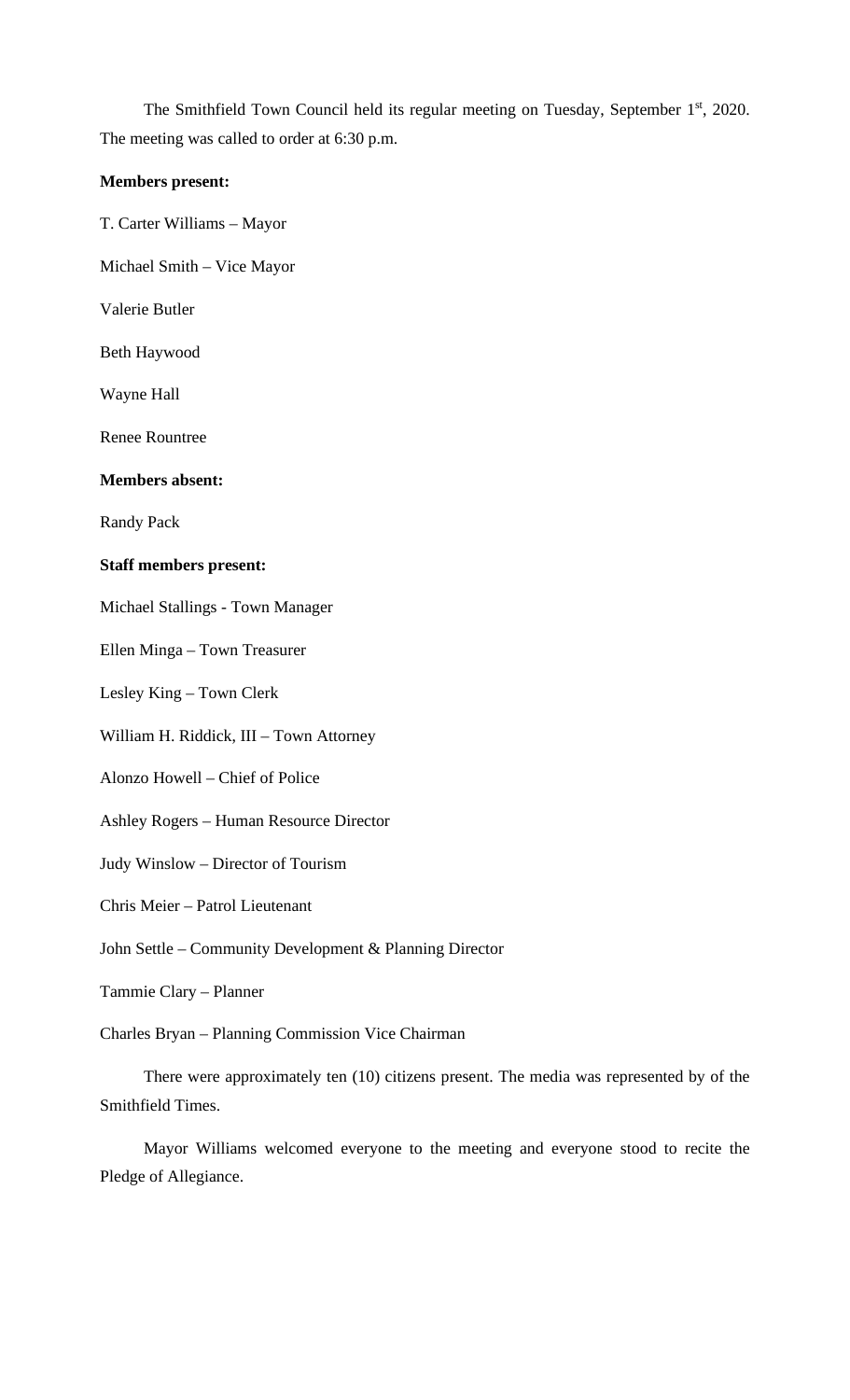The Smithfield Town Council held its regular meeting on Tuesday, September 1<sup>st</sup>, 2020. The meeting was called to order at 6:30 p.m.

### **Members present:**

- T. Carter Williams Mayor
- Michael Smith Vice Mayor
- Valerie Butler
- Beth Haywood
- Wayne Hall
- Renee Rountree

### **Members absent:**

Randy Pack

#### **Staff members present:**

Michael Stallings - Town Manager

Ellen Minga – Town Treasurer

Lesley King – Town Clerk

- William H. Riddick, III Town Attorney
- Alonzo Howell Chief of Police

Ashley Rogers – Human Resource Director

Judy Winslow – Director of Tourism

Chris Meier – Patrol Lieutenant

John Settle – Community Development & Planning Director

Tammie Clary – Planner

Charles Bryan – Planning Commission Vice Chairman

There were approximately ten (10) citizens present. The media was represented by of the Smithfield Times.

Mayor Williams welcomed everyone to the meeting and everyone stood to recite the Pledge of Allegiance.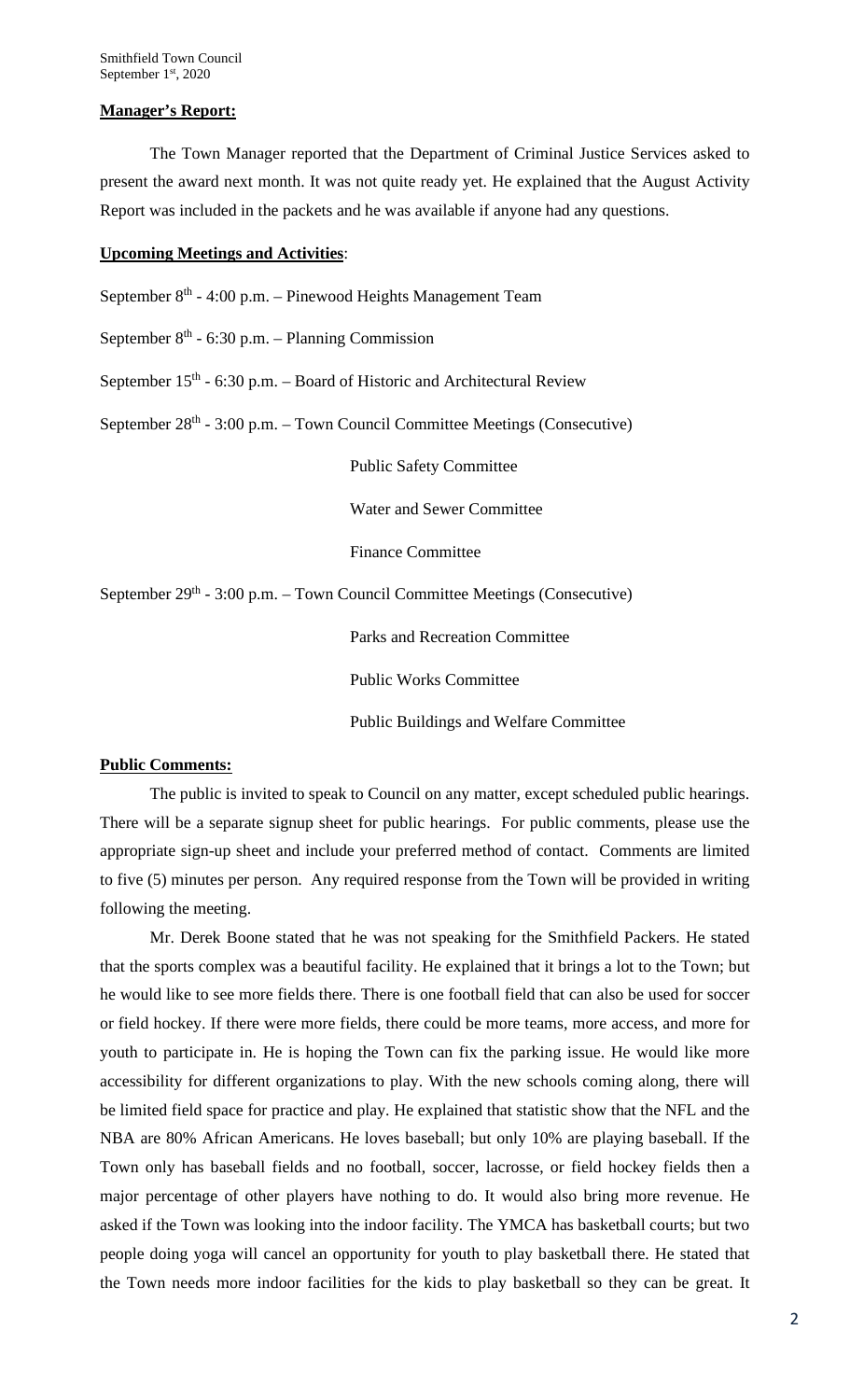#### **Manager's Report:**

The Town Manager reported that the Department of Criminal Justice Services asked to present the award next month. It was not quite ready yet. He explained that the August Activity Report was included in the packets and he was available if anyone had any questions.

### **Upcoming Meetings and Activities**:

September  $8<sup>th</sup> - 4:00$  p.m. – Pinewood Heights Management Team

September  $8<sup>th</sup> - 6:30$  p.m. – Planning Commission

September  $15<sup>th</sup>$  - 6:30 p.m. – Board of Historic and Architectural Review

September  $28<sup>th</sup> - 3:00$  p.m. – Town Council Committee Meetings (Consecutive)

Public Safety Committee

Water and Sewer Committee

Finance Committee

September 29<sup>th</sup> - 3:00 p.m. – Town Council Committee Meetings (Consecutive)

Parks and Recreation Committee

Public Works Committee

Public Buildings and Welfare Committee

### **Public Comments:**

The public is invited to speak to Council on any matter, except scheduled public hearings. There will be a separate signup sheet for public hearings. For public comments, please use the appropriate sign-up sheet and include your preferred method of contact. Comments are limited to five (5) minutes per person. Any required response from the Town will be provided in writing following the meeting.

Mr. Derek Boone stated that he was not speaking for the Smithfield Packers. He stated that the sports complex was a beautiful facility. He explained that it brings a lot to the Town; but he would like to see more fields there. There is one football field that can also be used for soccer or field hockey. If there were more fields, there could be more teams, more access, and more for youth to participate in. He is hoping the Town can fix the parking issue. He would like more accessibility for different organizations to play. With the new schools coming along, there will be limited field space for practice and play. He explained that statistic show that the NFL and the NBA are 80% African Americans. He loves baseball; but only 10% are playing baseball. If the Town only has baseball fields and no football, soccer, lacrosse, or field hockey fields then a major percentage of other players have nothing to do. It would also bring more revenue. He asked if the Town was looking into the indoor facility. The YMCA has basketball courts; but two people doing yoga will cancel an opportunity for youth to play basketball there. He stated that the Town needs more indoor facilities for the kids to play basketball so they can be great. It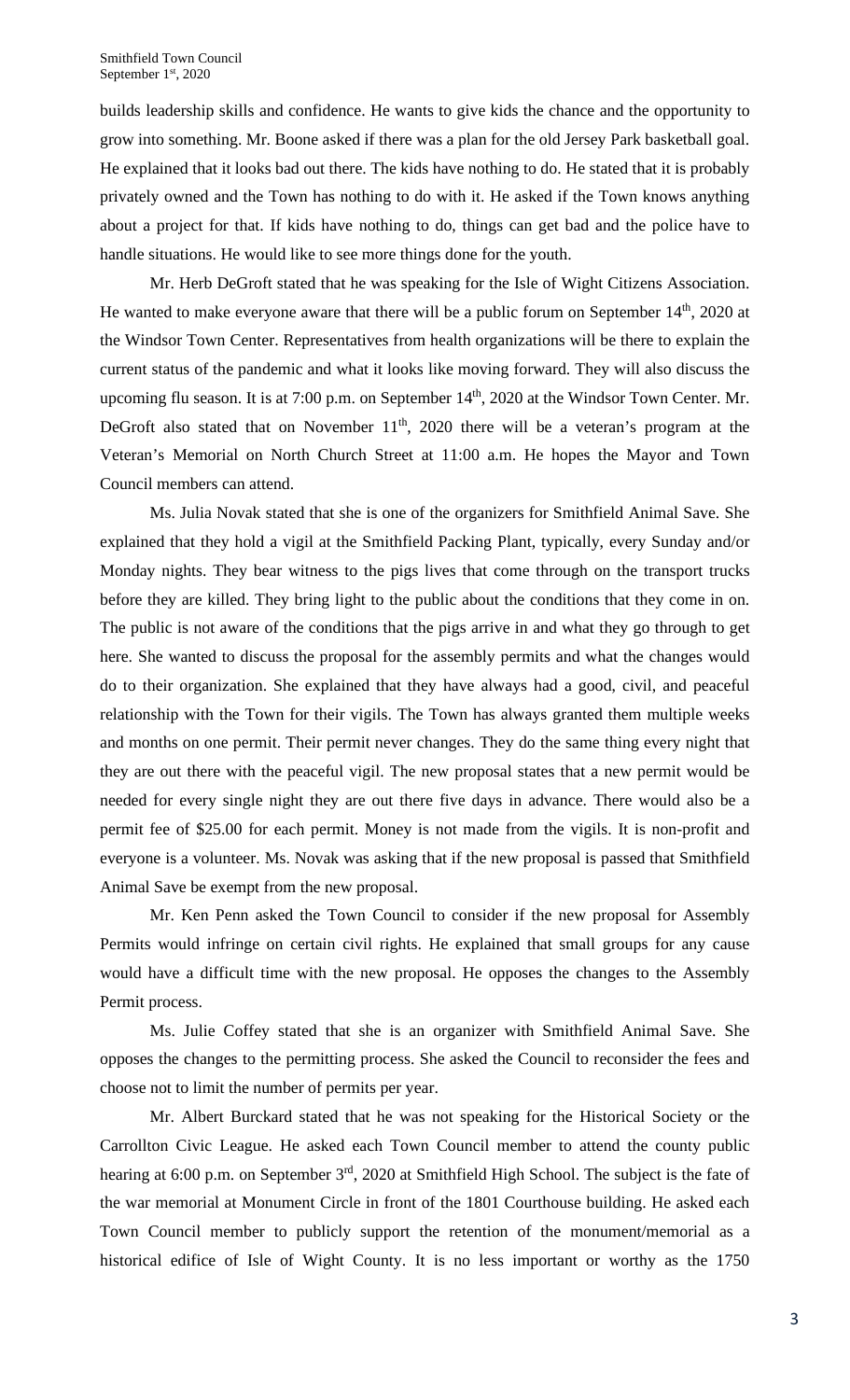builds leadership skills and confidence. He wants to give kids the chance and the opportunity to grow into something. Mr. Boone asked if there was a plan for the old Jersey Park basketball goal. He explained that it looks bad out there. The kids have nothing to do. He stated that it is probably privately owned and the Town has nothing to do with it. He asked if the Town knows anything about a project for that. If kids have nothing to do, things can get bad and the police have to handle situations. He would like to see more things done for the youth.

Mr. Herb DeGroft stated that he was speaking for the Isle of Wight Citizens Association. He wanted to make everyone aware that there will be a public forum on September  $14<sup>th</sup>$ , 2020 at the Windsor Town Center. Representatives from health organizations will be there to explain the current status of the pandemic and what it looks like moving forward. They will also discuss the upcoming flu season. It is at 7:00 p.m. on September 14<sup>th</sup>, 2020 at the Windsor Town Center. Mr. DeGroft also stated that on November  $11<sup>th</sup>$ , 2020 there will be a veteran's program at the Veteran's Memorial on North Church Street at 11:00 a.m. He hopes the Mayor and Town Council members can attend.

Ms. Julia Novak stated that she is one of the organizers for Smithfield Animal Save. She explained that they hold a vigil at the Smithfield Packing Plant, typically, every Sunday and/or Monday nights. They bear witness to the pigs lives that come through on the transport trucks before they are killed. They bring light to the public about the conditions that they come in on. The public is not aware of the conditions that the pigs arrive in and what they go through to get here. She wanted to discuss the proposal for the assembly permits and what the changes would do to their organization. She explained that they have always had a good, civil, and peaceful relationship with the Town for their vigils. The Town has always granted them multiple weeks and months on one permit. Their permit never changes. They do the same thing every night that they are out there with the peaceful vigil. The new proposal states that a new permit would be needed for every single night they are out there five days in advance. There would also be a permit fee of \$25.00 for each permit. Money is not made from the vigils. It is non-profit and everyone is a volunteer. Ms. Novak was asking that if the new proposal is passed that Smithfield Animal Save be exempt from the new proposal.

Mr. Ken Penn asked the Town Council to consider if the new proposal for Assembly Permits would infringe on certain civil rights. He explained that small groups for any cause would have a difficult time with the new proposal. He opposes the changes to the Assembly Permit process.

Ms. Julie Coffey stated that she is an organizer with Smithfield Animal Save. She opposes the changes to the permitting process. She asked the Council to reconsider the fees and choose not to limit the number of permits per year.

Mr. Albert Burckard stated that he was not speaking for the Historical Society or the Carrollton Civic League. He asked each Town Council member to attend the county public hearing at 6:00 p.m. on September 3<sup>rd</sup>, 2020 at Smithfield High School. The subject is the fate of the war memorial at Monument Circle in front of the 1801 Courthouse building. He asked each Town Council member to publicly support the retention of the monument/memorial as a historical edifice of Isle of Wight County. It is no less important or worthy as the 1750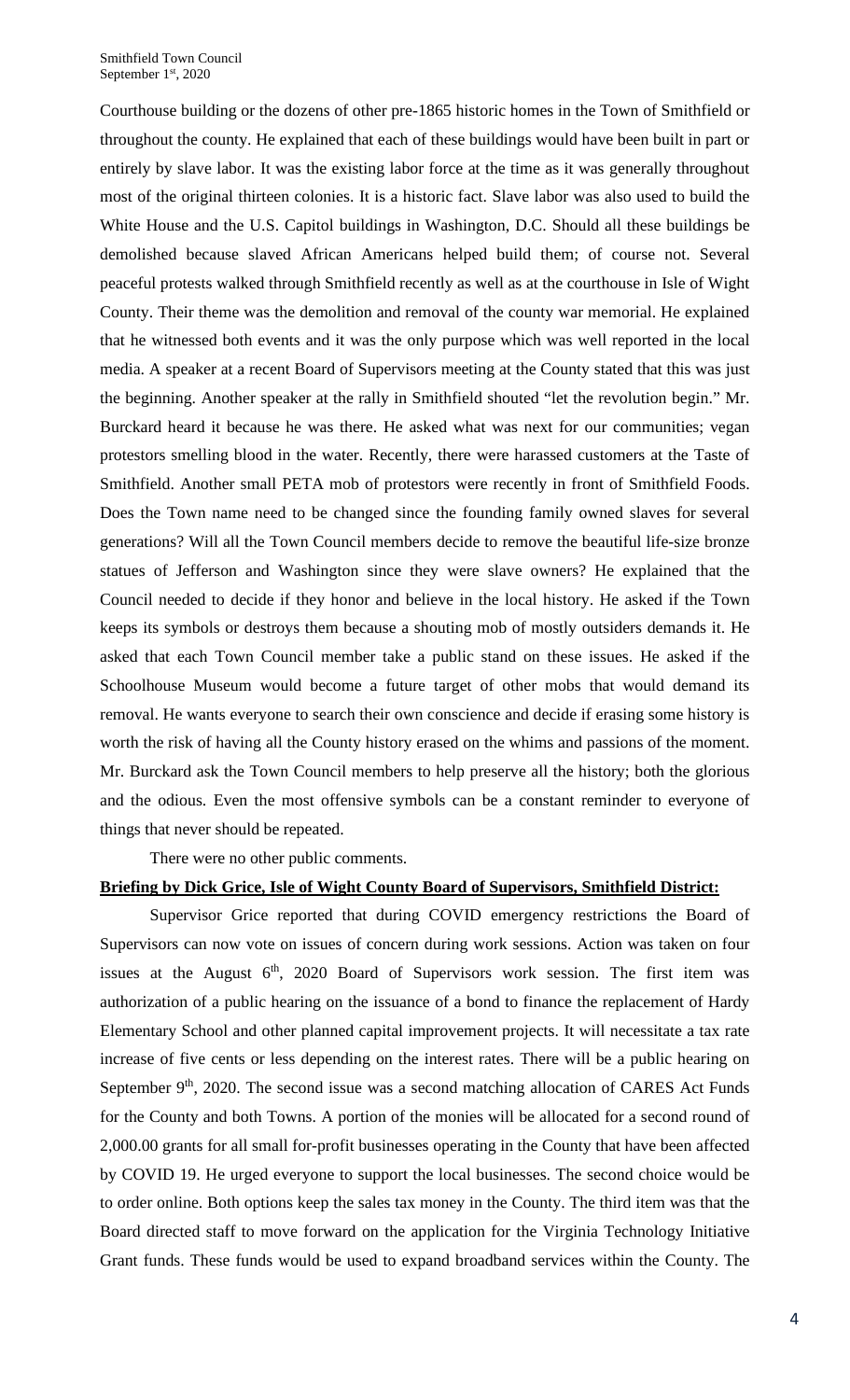Courthouse building or the dozens of other pre-1865 historic homes in the Town of Smithfield or throughout the county. He explained that each of these buildings would have been built in part or entirely by slave labor. It was the existing labor force at the time as it was generally throughout most of the original thirteen colonies. It is a historic fact. Slave labor was also used to build the White House and the U.S. Capitol buildings in Washington, D.C. Should all these buildings be demolished because slaved African Americans helped build them; of course not. Several peaceful protests walked through Smithfield recently as well as at the courthouse in Isle of Wight County. Their theme was the demolition and removal of the county war memorial. He explained that he witnessed both events and it was the only purpose which was well reported in the local media. A speaker at a recent Board of Supervisors meeting at the County stated that this was just the beginning. Another speaker at the rally in Smithfield shouted "let the revolution begin." Mr. Burckard heard it because he was there. He asked what was next for our communities; vegan protestors smelling blood in the water. Recently, there were harassed customers at the Taste of Smithfield. Another small PETA mob of protestors were recently in front of Smithfield Foods. Does the Town name need to be changed since the founding family owned slaves for several generations? Will all the Town Council members decide to remove the beautiful life-size bronze statues of Jefferson and Washington since they were slave owners? He explained that the Council needed to decide if they honor and believe in the local history. He asked if the Town keeps its symbols or destroys them because a shouting mob of mostly outsiders demands it. He asked that each Town Council member take a public stand on these issues. He asked if the Schoolhouse Museum would become a future target of other mobs that would demand its removal. He wants everyone to search their own conscience and decide if erasing some history is worth the risk of having all the County history erased on the whims and passions of the moment. Mr. Burckard ask the Town Council members to help preserve all the history; both the glorious and the odious. Even the most offensive symbols can be a constant reminder to everyone of things that never should be repeated.

There were no other public comments.

### **Briefing by Dick Grice, Isle of Wight County Board of Supervisors, Smithfield District:**

Supervisor Grice reported that during COVID emergency restrictions the Board of Supervisors can now vote on issues of concern during work sessions. Action was taken on four issues at the August  $6<sup>th</sup>$ , 2020 Board of Supervisors work session. The first item was authorization of a public hearing on the issuance of a bond to finance the replacement of Hardy Elementary School and other planned capital improvement projects. It will necessitate a tax rate increase of five cents or less depending on the interest rates. There will be a public hearing on September  $9<sup>th</sup>$ , 2020. The second issue was a second matching allocation of CARES Act Funds for the County and both Towns. A portion of the monies will be allocated for a second round of 2,000.00 grants for all small for-profit businesses operating in the County that have been affected by COVID 19. He urged everyone to support the local businesses. The second choice would be to order online. Both options keep the sales tax money in the County. The third item was that the Board directed staff to move forward on the application for the Virginia Technology Initiative Grant funds. These funds would be used to expand broadband services within the County. The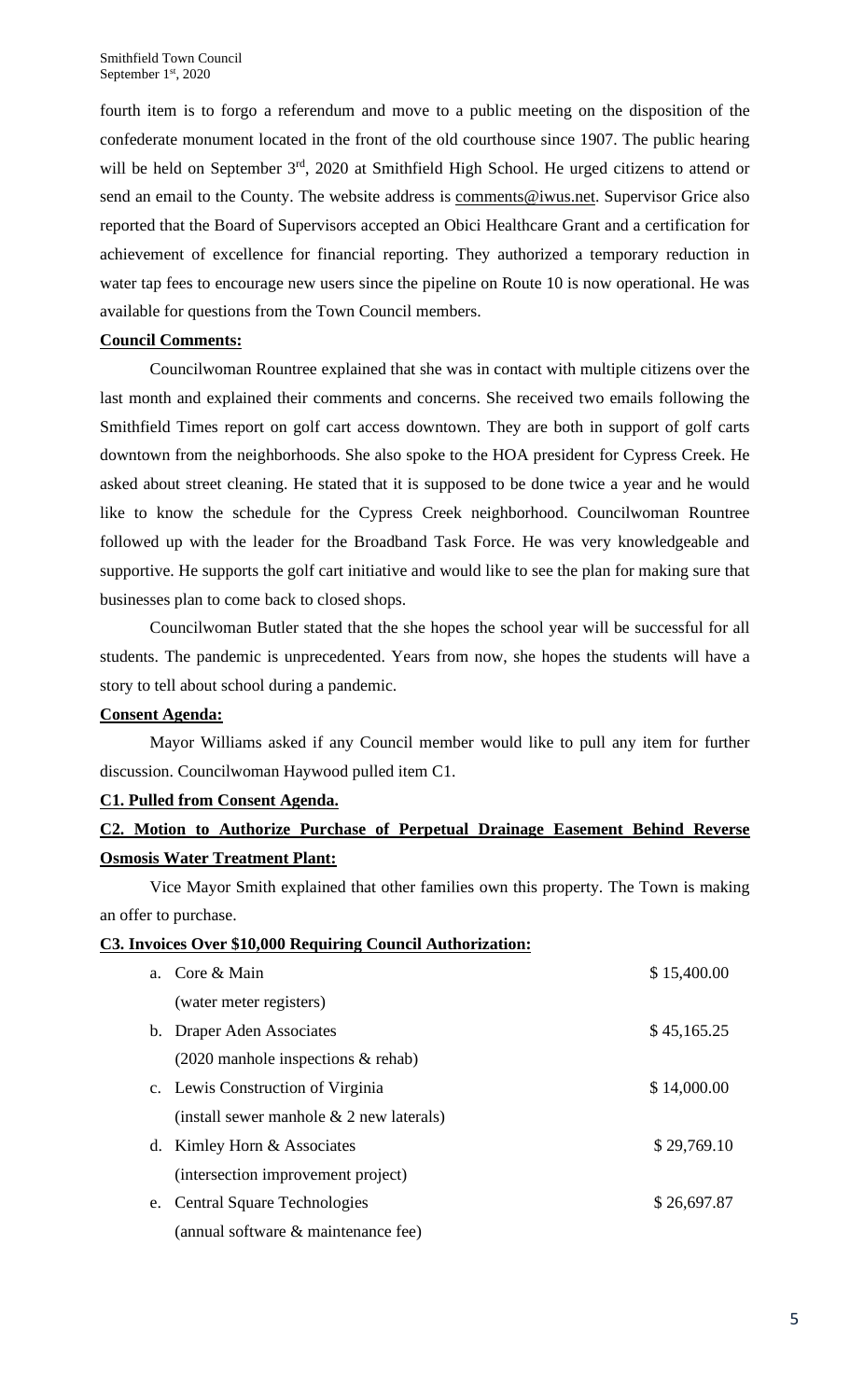fourth item is to forgo a referendum and move to a public meeting on the disposition of the confederate monument located in the front of the old courthouse since 1907. The public hearing will be held on September 3<sup>rd</sup>, 2020 at Smithfield High School. He urged citizens to attend or send an email to the County. The website address is [comments@iwus.net.](mailto:comments@iwus.net) Supervisor Grice also reported that the Board of Supervisors accepted an Obici Healthcare Grant and a certification for achievement of excellence for financial reporting. They authorized a temporary reduction in water tap fees to encourage new users since the pipeline on Route 10 is now operational. He was available for questions from the Town Council members.

# **Council Comments:**

Councilwoman Rountree explained that she was in contact with multiple citizens over the last month and explained their comments and concerns. She received two emails following the Smithfield Times report on golf cart access downtown. They are both in support of golf carts downtown from the neighborhoods. She also spoke to the HOA president for Cypress Creek. He asked about street cleaning. He stated that it is supposed to be done twice a year and he would like to know the schedule for the Cypress Creek neighborhood. Councilwoman Rountree followed up with the leader for the Broadband Task Force. He was very knowledgeable and supportive. He supports the golf cart initiative and would like to see the plan for making sure that businesses plan to come back to closed shops.

Councilwoman Butler stated that the she hopes the school year will be successful for all students. The pandemic is unprecedented. Years from now, she hopes the students will have a story to tell about school during a pandemic.

# **Consent Agenda:**

Mayor Williams asked if any Council member would like to pull any item for further discussion. Councilwoman Haywood pulled item C1.

# **C1. Pulled from Consent Agenda.**

# **C2. Motion to Authorize Purchase of Perpetual Drainage Easement Behind Reverse Osmosis Water Treatment Plant:**

Vice Mayor Smith explained that other families own this property. The Town is making an offer to purchase.

## **C3. Invoices Over \$10,000 Requiring Council Authorization:**

|    | a. Core & Main                                       | \$15,400.00 |
|----|------------------------------------------------------|-------------|
|    | (water meter registers)                              |             |
|    | b. Draper Aden Associates                            | \$45,165.25 |
|    | $(2020 \text{ manhole inspections} \& \text{rehab})$ |             |
|    | c. Lewis Construction of Virginia                    | \$14,000.00 |
|    | (install sewer manhole $& 2$ new laterals)           |             |
|    | d. Kimley Horn & Associates                          | \$29,769.10 |
|    | (intersection improvement project)                   |             |
| e. | <b>Central Square Technologies</b>                   | \$26,697.87 |
|    | (annual software & maintenance fee)                  |             |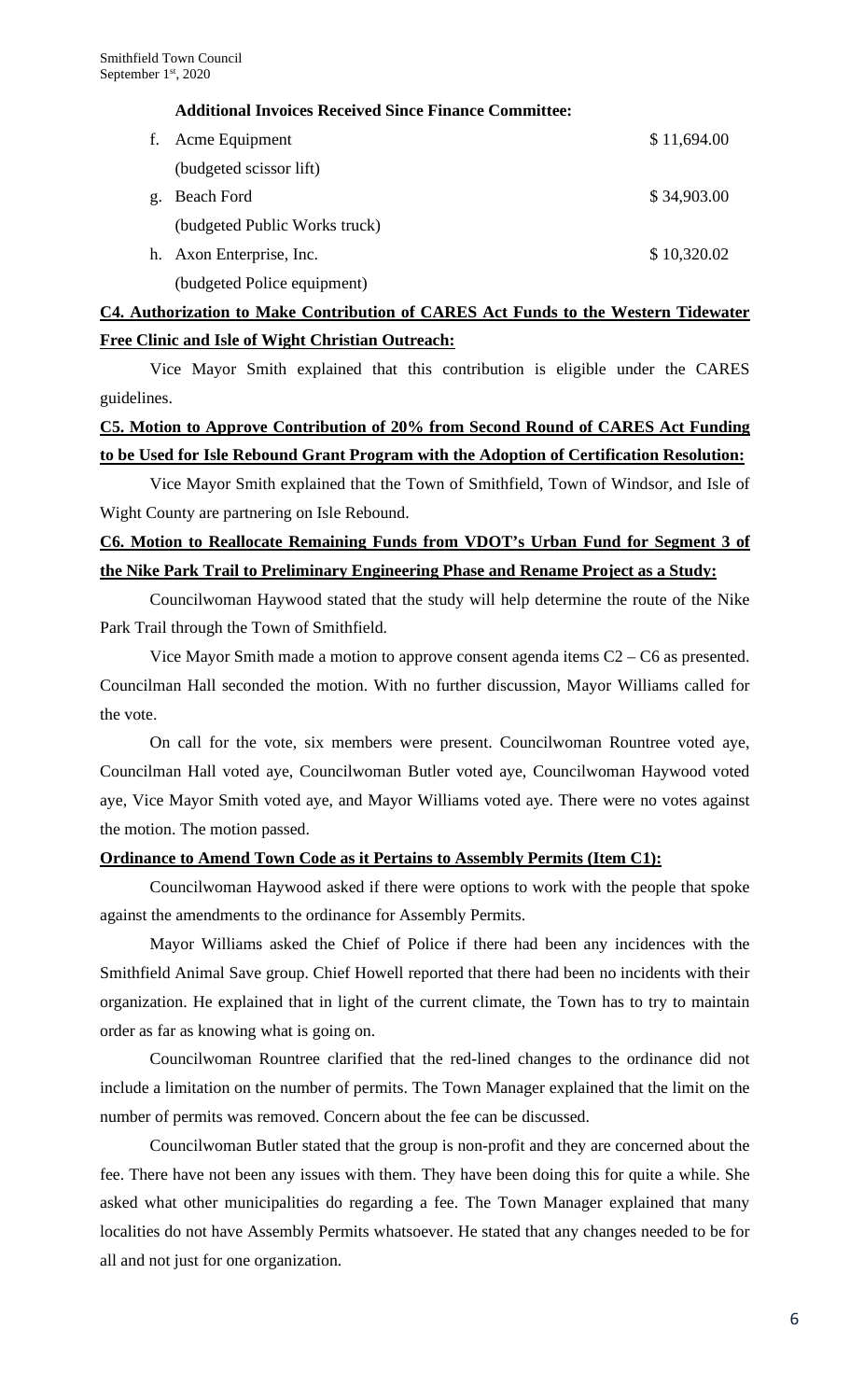## **Additional Invoices Received Since Finance Committee:**

|    | f. Acme Equipment             | \$11,694.00 |
|----|-------------------------------|-------------|
|    | (budgeted scissor lift)       |             |
| g. | Beach Ford                    | \$34,903.00 |
|    | (budgeted Public Works truck) |             |
|    | h. Axon Enterprise, Inc.      | \$10,320.02 |
|    | (budgeted Police equipment)   |             |

# **C4. Authorization to Make Contribution of CARES Act Funds to the Western Tidewater Free Clinic and Isle of Wight Christian Outreach:**

Vice Mayor Smith explained that this contribution is eligible under the CARES guidelines.

# **C5. Motion to Approve Contribution of 20% from Second Round of CARES Act Funding to be Used for Isle Rebound Grant Program with the Adoption of Certification Resolution:**

Vice Mayor Smith explained that the Town of Smithfield, Town of Windsor, and Isle of Wight County are partnering on Isle Rebound.

# **C6. Motion to Reallocate Remaining Funds from VDOT's Urban Fund for Segment 3 of the Nike Park Trail to Preliminary Engineering Phase and Rename Project as a Study:**

Councilwoman Haywood stated that the study will help determine the route of the Nike Park Trail through the Town of Smithfield.

Vice Mayor Smith made a motion to approve consent agenda items C2 – C6 as presented. Councilman Hall seconded the motion. With no further discussion, Mayor Williams called for the vote.

On call for the vote, six members were present. Councilwoman Rountree voted aye, Councilman Hall voted aye, Councilwoman Butler voted aye, Councilwoman Haywood voted aye, Vice Mayor Smith voted aye, and Mayor Williams voted aye. There were no votes against the motion. The motion passed.

# **Ordinance to Amend Town Code as it Pertains to Assembly Permits (Item C1):**

Councilwoman Haywood asked if there were options to work with the people that spoke against the amendments to the ordinance for Assembly Permits.

Mayor Williams asked the Chief of Police if there had been any incidences with the Smithfield Animal Save group. Chief Howell reported that there had been no incidents with their organization. He explained that in light of the current climate, the Town has to try to maintain order as far as knowing what is going on.

Councilwoman Rountree clarified that the red-lined changes to the ordinance did not include a limitation on the number of permits. The Town Manager explained that the limit on the number of permits was removed. Concern about the fee can be discussed.

Councilwoman Butler stated that the group is non-profit and they are concerned about the fee. There have not been any issues with them. They have been doing this for quite a while. She asked what other municipalities do regarding a fee. The Town Manager explained that many localities do not have Assembly Permits whatsoever. He stated that any changes needed to be for all and not just for one organization.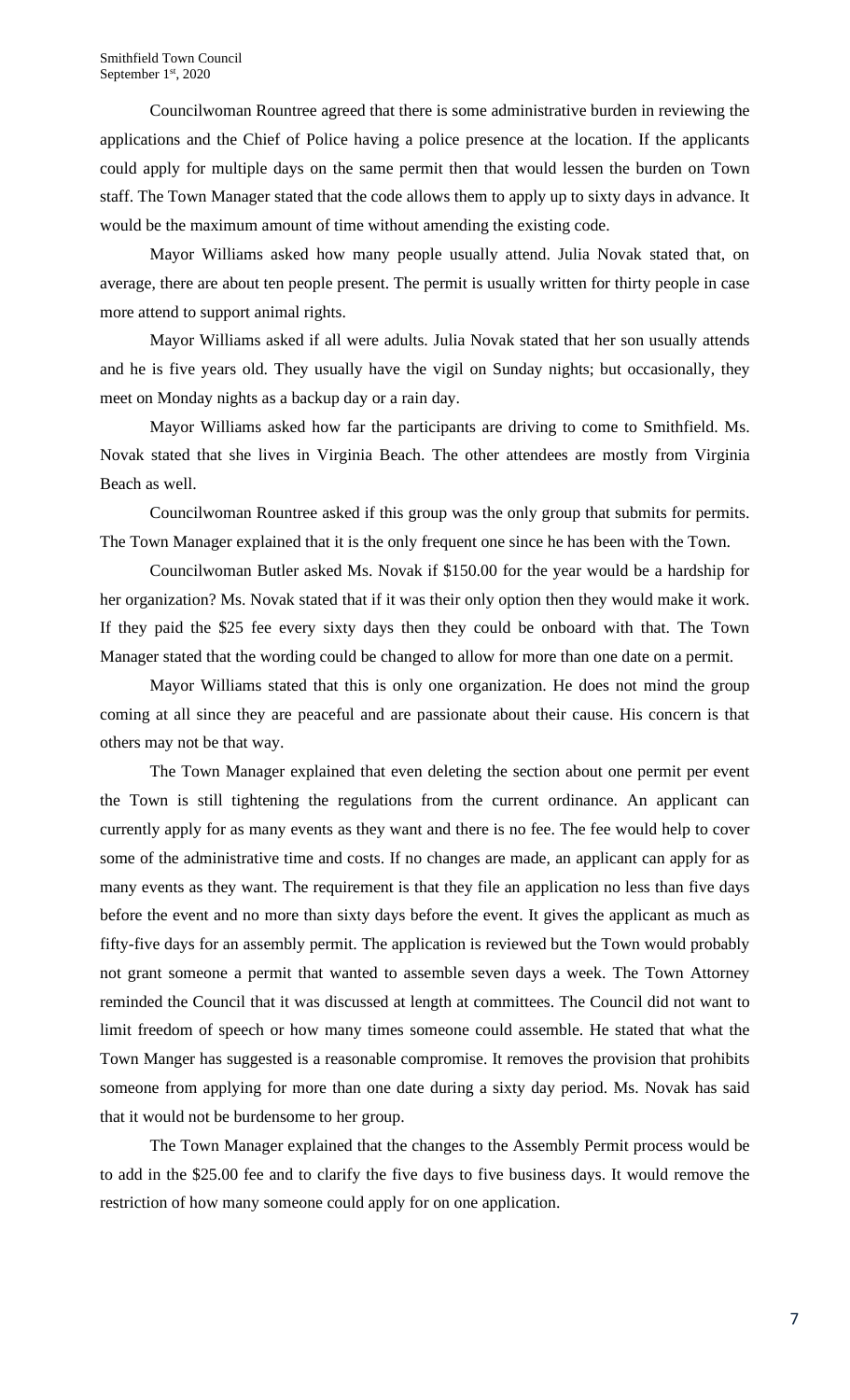Councilwoman Rountree agreed that there is some administrative burden in reviewing the applications and the Chief of Police having a police presence at the location. If the applicants could apply for multiple days on the same permit then that would lessen the burden on Town staff. The Town Manager stated that the code allows them to apply up to sixty days in advance. It would be the maximum amount of time without amending the existing code.

Mayor Williams asked how many people usually attend. Julia Novak stated that, on average, there are about ten people present. The permit is usually written for thirty people in case more attend to support animal rights.

Mayor Williams asked if all were adults. Julia Novak stated that her son usually attends and he is five years old. They usually have the vigil on Sunday nights; but occasionally, they meet on Monday nights as a backup day or a rain day.

Mayor Williams asked how far the participants are driving to come to Smithfield. Ms. Novak stated that she lives in Virginia Beach. The other attendees are mostly from Virginia Beach as well.

Councilwoman Rountree asked if this group was the only group that submits for permits. The Town Manager explained that it is the only frequent one since he has been with the Town.

Councilwoman Butler asked Ms. Novak if \$150.00 for the year would be a hardship for her organization? Ms. Novak stated that if it was their only option then they would make it work. If they paid the \$25 fee every sixty days then they could be onboard with that. The Town Manager stated that the wording could be changed to allow for more than one date on a permit.

Mayor Williams stated that this is only one organization. He does not mind the group coming at all since they are peaceful and are passionate about their cause. His concern is that others may not be that way.

The Town Manager explained that even deleting the section about one permit per event the Town is still tightening the regulations from the current ordinance. An applicant can currently apply for as many events as they want and there is no fee. The fee would help to cover some of the administrative time and costs. If no changes are made, an applicant can apply for as many events as they want. The requirement is that they file an application no less than five days before the event and no more than sixty days before the event. It gives the applicant as much as fifty-five days for an assembly permit. The application is reviewed but the Town would probably not grant someone a permit that wanted to assemble seven days a week. The Town Attorney reminded the Council that it was discussed at length at committees. The Council did not want to limit freedom of speech or how many times someone could assemble. He stated that what the Town Manger has suggested is a reasonable compromise. It removes the provision that prohibits someone from applying for more than one date during a sixty day period. Ms. Novak has said that it would not be burdensome to her group.

The Town Manager explained that the changes to the Assembly Permit process would be to add in the \$25.00 fee and to clarify the five days to five business days. It would remove the restriction of how many someone could apply for on one application.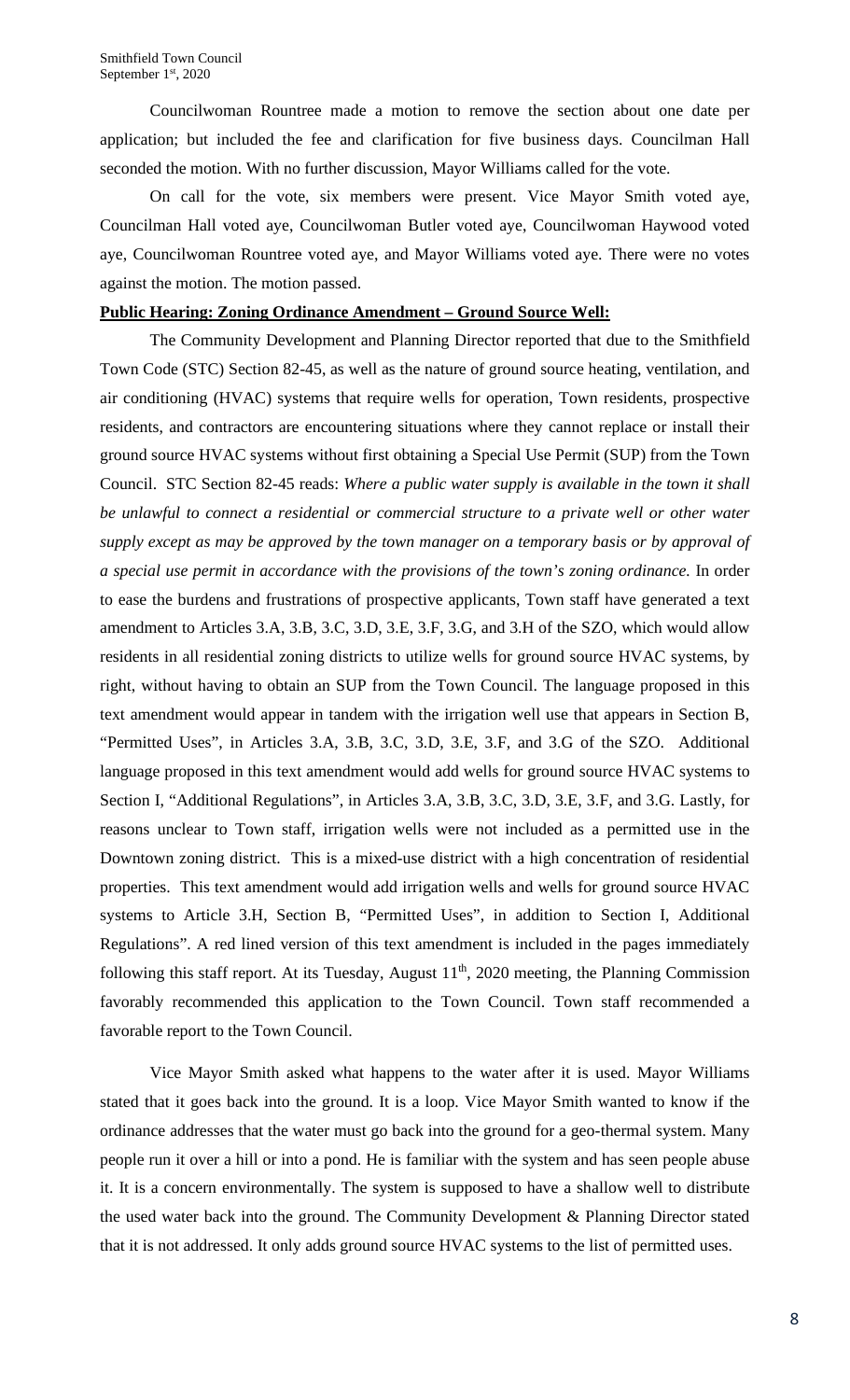Councilwoman Rountree made a motion to remove the section about one date per application; but included the fee and clarification for five business days. Councilman Hall seconded the motion. With no further discussion, Mayor Williams called for the vote.

On call for the vote, six members were present. Vice Mayor Smith voted aye, Councilman Hall voted aye, Councilwoman Butler voted aye, Councilwoman Haywood voted aye, Councilwoman Rountree voted aye, and Mayor Williams voted aye. There were no votes against the motion. The motion passed.

## **Public Hearing: Zoning Ordinance Amendment – Ground Source Well:**

The Community Development and Planning Director reported that due to the Smithfield Town Code (STC) Section 82-45, as well as the nature of ground source heating, ventilation, and air conditioning (HVAC) systems that require wells for operation, Town residents, prospective residents, and contractors are encountering situations where they cannot replace or install their ground source HVAC systems without first obtaining a Special Use Permit (SUP) from the Town Council. STC Section 82-45 reads: *Where a public water supply is available in the town it shall be unlawful to connect a residential or commercial structure to a private well or other water supply except as may be approved by the town manager on a temporary basis or by approval of a special use permit in accordance with the provisions of the town's zoning ordinance.* In order to ease the burdens and frustrations of prospective applicants, Town staff have generated a text amendment to Articles 3.A, 3.B, 3.C, 3.D, 3.E, 3.F, 3.G, and 3.H of the SZO, which would allow residents in all residential zoning districts to utilize wells for ground source HVAC systems, by right, without having to obtain an SUP from the Town Council. The language proposed in this text amendment would appear in tandem with the irrigation well use that appears in Section B, "Permitted Uses", in Articles 3.A, 3.B, 3.C, 3.D, 3.E, 3.F, and 3.G of the SZO.Additional language proposed in this text amendment would add wells for ground source HVAC systems to Section I, "Additional Regulations", in Articles 3.A, 3.B, 3.C, 3.D, 3.E, 3.F, and 3.G. Lastly, for reasons unclear to Town staff, irrigation wells were not included as a permitted use in the Downtown zoning district. This is a mixed-use district with a high concentration of residential properties. This text amendment would add irrigation wells and wells for ground source HVAC systems to Article 3.H, Section B, "Permitted Uses", in addition to Section I, Additional Regulations". A red lined version of this text amendment is included in the pages immediately following this staff report. At its Tuesday, August  $11<sup>th</sup>$ , 2020 meeting, the Planning Commission favorably recommended this application to the Town Council. Town staff recommended a favorable report to the Town Council.

Vice Mayor Smith asked what happens to the water after it is used. Mayor Williams stated that it goes back into the ground. It is a loop. Vice Mayor Smith wanted to know if the ordinance addresses that the water must go back into the ground for a geo-thermal system. Many people run it over a hill or into a pond. He is familiar with the system and has seen people abuse it. It is a concern environmentally. The system is supposed to have a shallow well to distribute the used water back into the ground. The Community Development & Planning Director stated that it is not addressed. It only adds ground source HVAC systems to the list of permitted uses.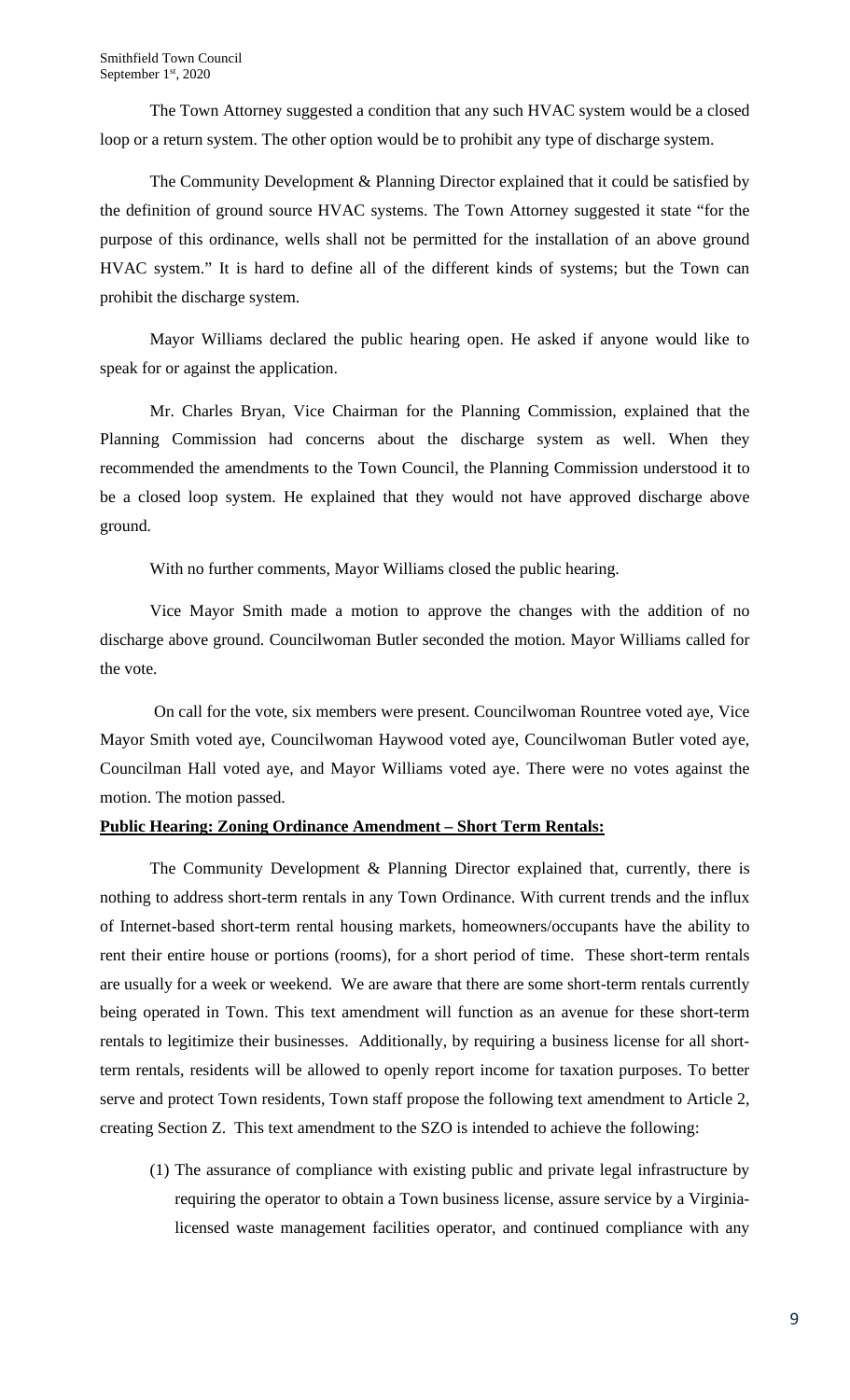The Town Attorney suggested a condition that any such HVAC system would be a closed loop or a return system. The other option would be to prohibit any type of discharge system.

The Community Development & Planning Director explained that it could be satisfied by the definition of ground source HVAC systems. The Town Attorney suggested it state "for the purpose of this ordinance, wells shall not be permitted for the installation of an above ground HVAC system." It is hard to define all of the different kinds of systems; but the Town can prohibit the discharge system.

Mayor Williams declared the public hearing open. He asked if anyone would like to speak for or against the application.

Mr. Charles Bryan, Vice Chairman for the Planning Commission, explained that the Planning Commission had concerns about the discharge system as well. When they recommended the amendments to the Town Council, the Planning Commission understood it to be a closed loop system. He explained that they would not have approved discharge above ground.

With no further comments, Mayor Williams closed the public hearing.

Vice Mayor Smith made a motion to approve the changes with the addition of no discharge above ground. Councilwoman Butler seconded the motion. Mayor Williams called for the vote.

On call for the vote, six members were present. Councilwoman Rountree voted aye, Vice Mayor Smith voted aye, Councilwoman Haywood voted aye, Councilwoman Butler voted aye, Councilman Hall voted aye, and Mayor Williams voted aye. There were no votes against the motion. The motion passed.

## **Public Hearing: Zoning Ordinance Amendment – Short Term Rentals:**

The Community Development & Planning Director explained that, currently, there is nothing to address short-term rentals in any Town Ordinance. With current trends and the influx of Internet-based short-term rental housing markets, homeowners/occupants have the ability to rent their entire house or portions (rooms), for a short period of time. These short-term rentals are usually for a week or weekend. We are aware that there are some short-term rentals currently being operated in Town. This text amendment will function as an avenue for these short-term rentals to legitimize their businesses. Additionally, by requiring a business license for all shortterm rentals, residents will be allowed to openly report income for taxation purposes. To better serve and protect Town residents, Town staff propose the following text amendment to Article 2, creating Section Z. This text amendment to the SZO is intended to achieve the following:

(1) The assurance of compliance with existing public and private legal infrastructure by requiring the operator to obtain a Town business license, assure service by a Virginialicensed waste management facilities operator, and continued compliance with any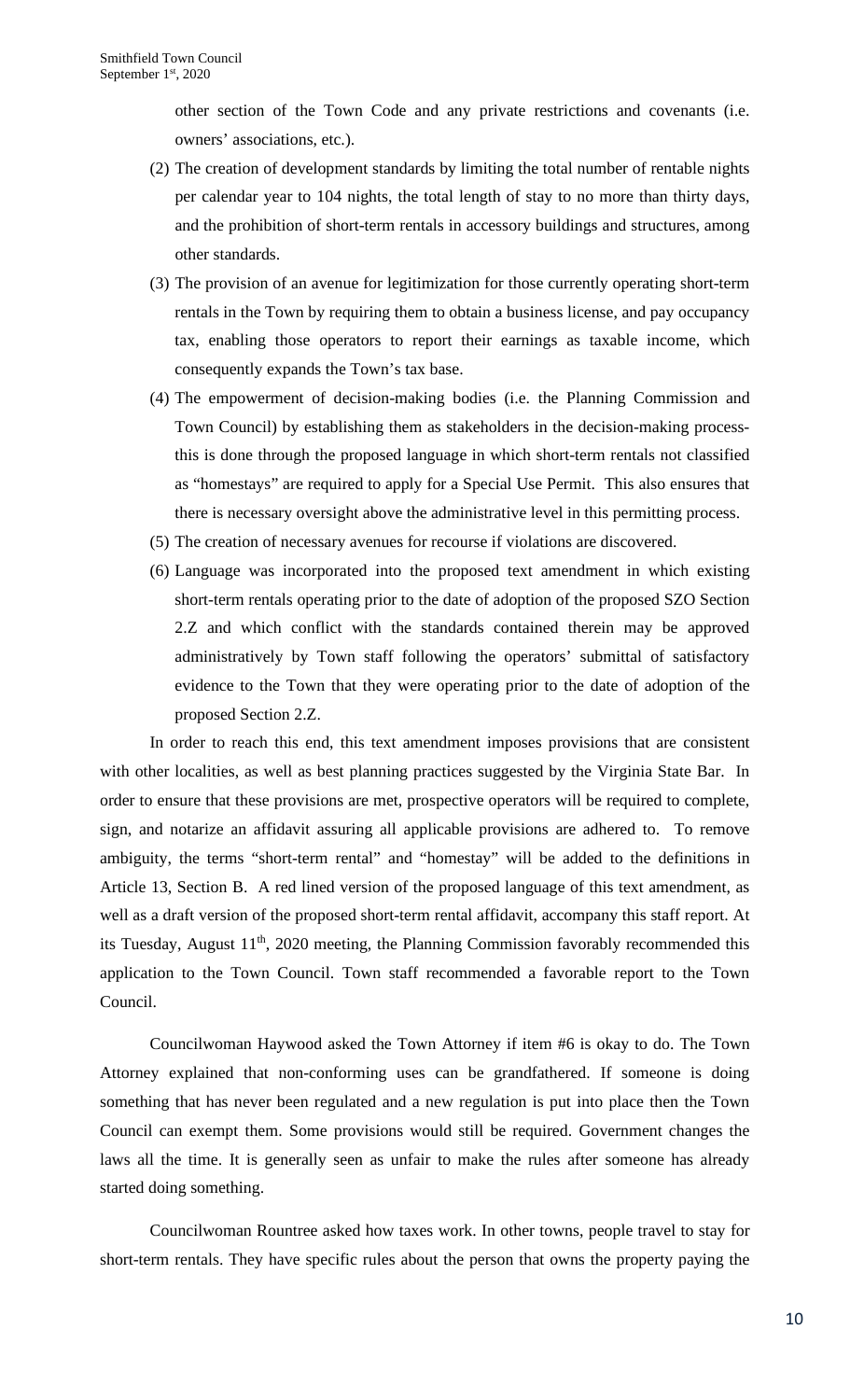other section of the Town Code and any private restrictions and covenants (i.e. owners' associations, etc.).

- (2) The creation of development standards by limiting the total number of rentable nights per calendar year to 104 nights, the total length of stay to no more than thirty days, and the prohibition of short-term rentals in accessory buildings and structures, among other standards.
- (3) The provision of an avenue for legitimization for those currently operating short-term rentals in the Town by requiring them to obtain a business license, and pay occupancy tax, enabling those operators to report their earnings as taxable income, which consequently expands the Town's tax base.
- (4) The empowerment of decision-making bodies (i.e. the Planning Commission and Town Council) by establishing them as stakeholders in the decision-making processthis is done through the proposed language in which short-term rentals not classified as "homestays" are required to apply for a Special Use Permit. This also ensures that there is necessary oversight above the administrative level in this permitting process.
- (5) The creation of necessary avenues for recourse if violations are discovered.
- (6) Language was incorporated into the proposed text amendment in which existing short-term rentals operating prior to the date of adoption of the proposed SZO Section 2.Z and which conflict with the standards contained therein may be approved administratively by Town staff following the operators' submittal of satisfactory evidence to the Town that they were operating prior to the date of adoption of the proposed Section 2.Z.

In order to reach this end, this text amendment imposes provisions that are consistent with other localities, as well as best planning practices suggested by the Virginia State Bar. In order to ensure that these provisions are met, prospective operators will be required to complete, sign, and notarize an affidavit assuring all applicable provisions are adhered to. To remove ambiguity, the terms "short-term rental" and "homestay" will be added to the definitions in Article 13, Section B. A red lined version of the proposed language of this text amendment, as well as a draft version of the proposed short-term rental affidavit, accompany this staff report. At its Tuesday, August 11<sup>th</sup>, 2020 meeting, the Planning Commission favorably recommended this application to the Town Council. Town staff recommended a favorable report to the Town Council.

Councilwoman Haywood asked the Town Attorney if item #6 is okay to do. The Town Attorney explained that non-conforming uses can be grandfathered. If someone is doing something that has never been regulated and a new regulation is put into place then the Town Council can exempt them. Some provisions would still be required. Government changes the laws all the time. It is generally seen as unfair to make the rules after someone has already started doing something.

Councilwoman Rountree asked how taxes work. In other towns, people travel to stay for short-term rentals. They have specific rules about the person that owns the property paying the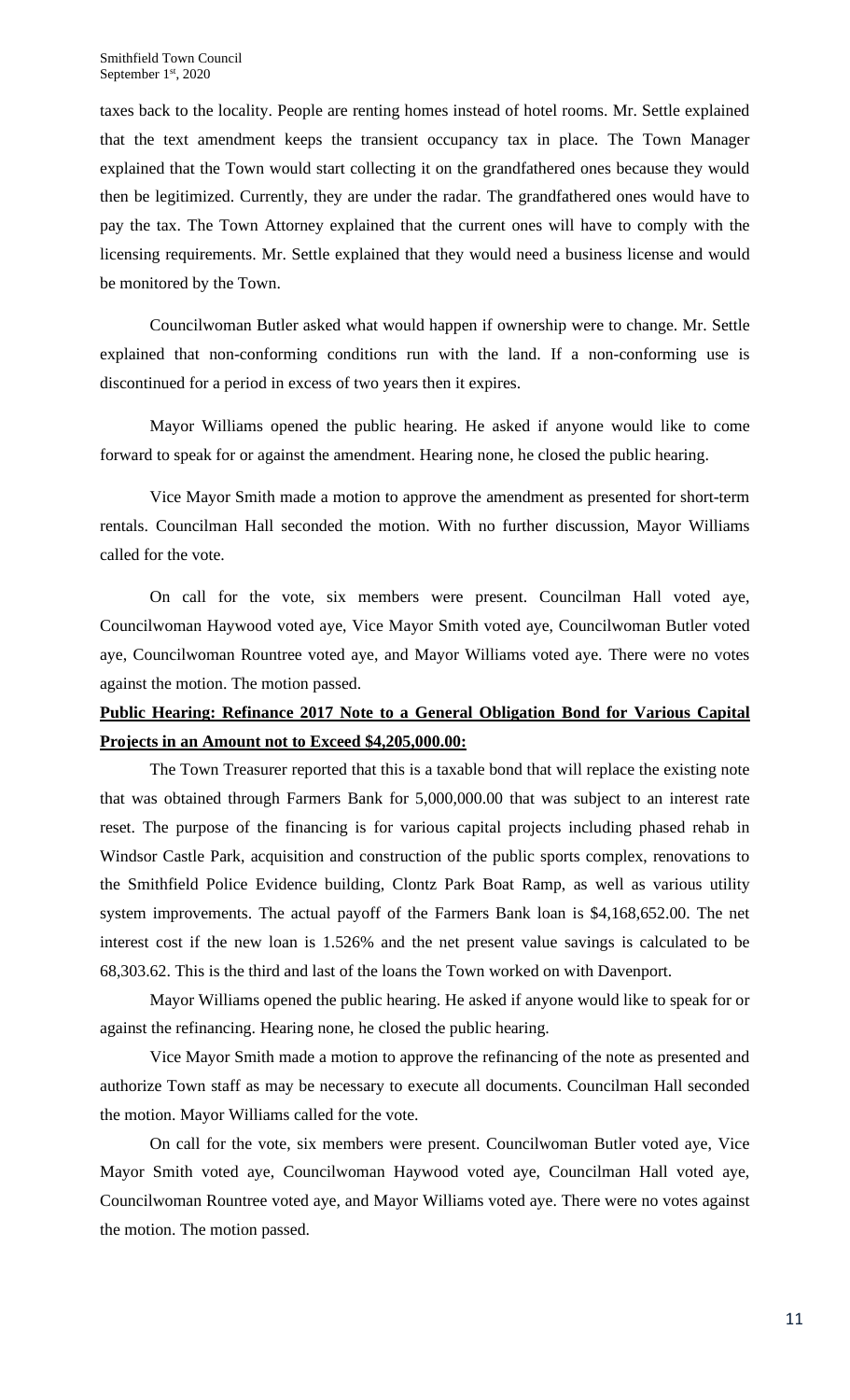taxes back to the locality. People are renting homes instead of hotel rooms. Mr. Settle explained that the text amendment keeps the transient occupancy tax in place. The Town Manager explained that the Town would start collecting it on the grandfathered ones because they would then be legitimized. Currently, they are under the radar. The grandfathered ones would have to pay the tax. The Town Attorney explained that the current ones will have to comply with the licensing requirements. Mr. Settle explained that they would need a business license and would be monitored by the Town.

Councilwoman Butler asked what would happen if ownership were to change. Mr. Settle explained that non-conforming conditions run with the land. If a non-conforming use is discontinued for a period in excess of two years then it expires.

Mayor Williams opened the public hearing. He asked if anyone would like to come forward to speak for or against the amendment. Hearing none, he closed the public hearing.

Vice Mayor Smith made a motion to approve the amendment as presented for short-term rentals. Councilman Hall seconded the motion. With no further discussion, Mayor Williams called for the vote.

On call for the vote, six members were present. Councilman Hall voted aye, Councilwoman Haywood voted aye, Vice Mayor Smith voted aye, Councilwoman Butler voted aye, Councilwoman Rountree voted aye, and Mayor Williams voted aye. There were no votes against the motion. The motion passed.

# **Public Hearing: Refinance 2017 Note to a General Obligation Bond for Various Capital Projects in an Amount not to Exceed \$4,205,000.00:**

The Town Treasurer reported that this is a taxable bond that will replace the existing note that was obtained through Farmers Bank for 5,000,000.00 that was subject to an interest rate reset. The purpose of the financing is for various capital projects including phased rehab in Windsor Castle Park, acquisition and construction of the public sports complex, renovations to the Smithfield Police Evidence building, Clontz Park Boat Ramp, as well as various utility system improvements. The actual payoff of the Farmers Bank loan is \$4,168,652.00. The net interest cost if the new loan is 1.526% and the net present value savings is calculated to be 68,303.62. This is the third and last of the loans the Town worked on with Davenport.

Mayor Williams opened the public hearing. He asked if anyone would like to speak for or against the refinancing. Hearing none, he closed the public hearing.

Vice Mayor Smith made a motion to approve the refinancing of the note as presented and authorize Town staff as may be necessary to execute all documents. Councilman Hall seconded the motion. Mayor Williams called for the vote.

On call for the vote, six members were present. Councilwoman Butler voted aye, Vice Mayor Smith voted aye, Councilwoman Haywood voted aye, Councilman Hall voted aye, Councilwoman Rountree voted aye, and Mayor Williams voted aye. There were no votes against the motion. The motion passed.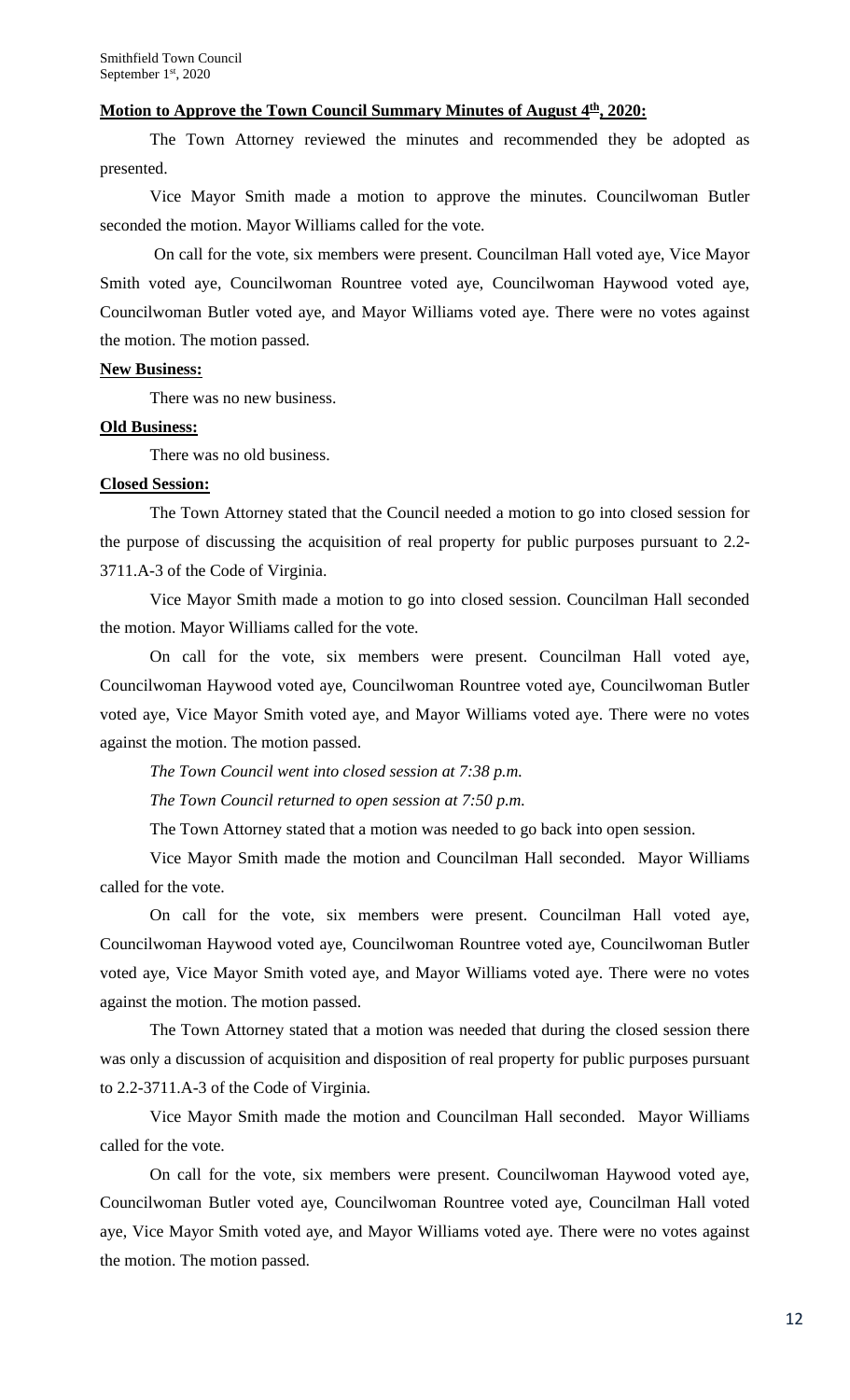### **Motion to Approve the Town Council Summary Minutes of August**  $4^{\underline{th}}$ **, 2020:**

The Town Attorney reviewed the minutes and recommended they be adopted as presented.

Vice Mayor Smith made a motion to approve the minutes. Councilwoman Butler seconded the motion. Mayor Williams called for the vote.

On call for the vote, six members were present. Councilman Hall voted aye, Vice Mayor Smith voted aye, Councilwoman Rountree voted aye, Councilwoman Haywood voted aye, Councilwoman Butler voted aye, and Mayor Williams voted aye. There were no votes against the motion. The motion passed.

### **New Business:**

There was no new business.

#### **Old Business:**

There was no old business.

### **Closed Session:**

The Town Attorney stated that the Council needed a motion to go into closed session for the purpose of discussing the acquisition of real property for public purposes pursuant to 2.2- 3711.A-3 of the Code of Virginia.

Vice Mayor Smith made a motion to go into closed session. Councilman Hall seconded the motion. Mayor Williams called for the vote.

On call for the vote, six members were present. Councilman Hall voted aye, Councilwoman Haywood voted aye, Councilwoman Rountree voted aye, Councilwoman Butler voted aye, Vice Mayor Smith voted aye, and Mayor Williams voted aye. There were no votes against the motion. The motion passed.

*The Town Council went into closed session at 7:38 p.m.*

*The Town Council returned to open session at 7:50 p.m.*

The Town Attorney stated that a motion was needed to go back into open session.

Vice Mayor Smith made the motion and Councilman Hall seconded. Mayor Williams called for the vote.

On call for the vote, six members were present. Councilman Hall voted aye, Councilwoman Haywood voted aye, Councilwoman Rountree voted aye, Councilwoman Butler voted aye, Vice Mayor Smith voted aye, and Mayor Williams voted aye. There were no votes against the motion. The motion passed.

The Town Attorney stated that a motion was needed that during the closed session there was only a discussion of acquisition and disposition of real property for public purposes pursuant to 2.2-3711.A-3 of the Code of Virginia.

Vice Mayor Smith made the motion and Councilman Hall seconded. Mayor Williams called for the vote.

On call for the vote, six members were present. Councilwoman Haywood voted aye, Councilwoman Butler voted aye, Councilwoman Rountree voted aye, Councilman Hall voted aye, Vice Mayor Smith voted aye, and Mayor Williams voted aye. There were no votes against the motion. The motion passed.